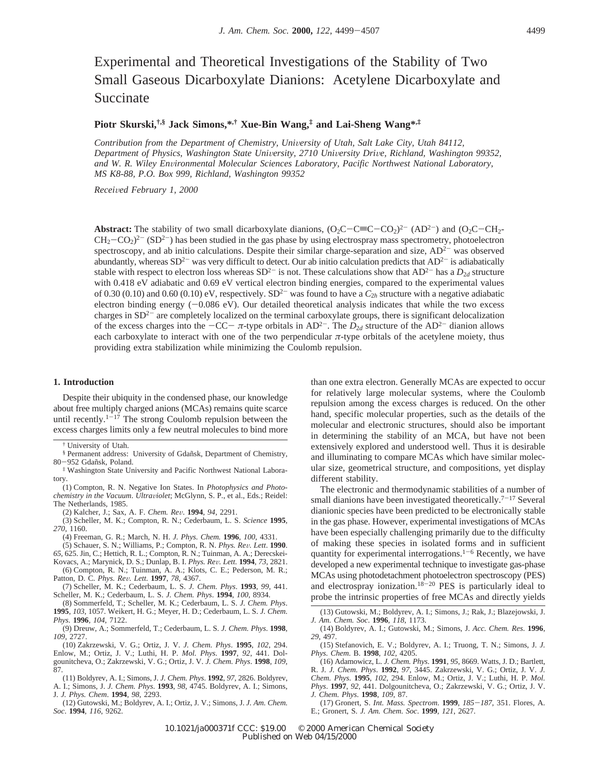# Experimental and Theoretical Investigations of the Stability of Two Small Gaseous Dicarboxylate Dianions: Acetylene Dicarboxylate and Succinate

# **Piotr Skurski,†,§ Jack Simons,\*,† Xue-Bin Wang,‡ and Lai-Sheng Wang\*,‡**

*Contribution from the Department of Chemistry, University of Utah, Salt Lake City, Utah 84112, Department of Physics, Washington State Uni*V*ersity, 2710 Uni*V*ersity Dri*V*e, Richland, Washington 99352, and W. R. Wiley En*V*ironmental Molecular Sciences Laboratory, Pacific Northwest National Laboratory, MS K8-88, P.O. Box 999, Richland, Washington 99352*

*Recei*V*ed February 1, 2000*

**Abstract:** The stability of two small dicarboxylate dianions,  $(O_2C-C\equiv C-CO_2)^2$  (AD<sup>2-</sup>) and  $(O_2C-CH_2 CH_2-CO_2^2$  (SD<sup>2-</sup>) has been studied in the gas phase by using electrospray mass spectrometry, photoelectron spectroscopy, and ab initio calculations. Despite their similar charge-separation and size,  $AD^{2-}$  was observed abundantly, whereas  $SD<sup>2</sup>$  was very difficult to detect. Our ab initio calculation predicts that  $AD<sup>2</sup>$  is adiabatically stable with respect to electron loss whereas  $SD<sup>2</sup>$  is not. These calculations show that  $AD<sup>2</sup>$  has a  $D<sub>2d</sub>$  structure with 0.418 eV adiabatic and 0.69 eV vertical electron binding energies, compared to the experimental values of 0.30 (0.10) and 0.60 (0.10) eV, respectively.  $SD^{2-}$  was found to have a  $C_{2h}$  structure with a negative adiabatic electron binding energy  $(-0.086 \text{ eV})$ . Our detailed theoretical analysis indicates that while the two excess charges in  $SD<sup>2</sup>$  are completely localized on the terminal carboxylate groups, there is significant delocalization of the excess charges into the  $-CC - \pi$ -type orbitals in AD<sup>2-</sup>. The  $D_{2d}$  structure of the AD<sup>2-</sup> dianion allows each carboxylate to interact with one of the two perpendicular *π*-type orbitals of the acetylene moiety, thus providing extra stabilization while minimizing the Coulomb repulsion.

## **1. Introduction**

Despite their ubiquity in the condensed phase, our knowledge about free multiply charged anions (MCAs) remains quite scarce until recently. $1-\frac{17}{7}$  The strong Coulomb repulsion between the excess charges limits only a few neutral molecules to bind more

- (2) Kalcher, J.; Sax, A. F. *Chem. Re*V. **<sup>1994</sup>**, *<sup>94</sup>*, 2291.
- (3) Scheller, M. K.; Compton, R. N.; Cederbaum, L. S. *Science* **1995**, *270*, 1160.
- (4) Freeman, G. R.; March*,* N. H. *J. Phys. Chem.* **1996**, *100*, 4331.
- (5) Schauer, S. N.; Williams, P.; Compton, R. N. *Phys. Re*V*. Lett*. **<sup>1990</sup>**.
- *65*, 625. Jin, C.; Hettich, R. L.; Compton, R. N.; Tuinman, A. A.; Derecskei-Kovacs, A.; Marynick, D. S.; Dunlap, B. I. *Phys. Re*V*. Lett.* **<sup>1994</sup>**, *<sup>73</sup>*, 2821.
- (6) Compton, R. N.; Tuinman, A. A.; Klots, C. E.; Pederson, M. R.; Patton, D. C. *Phys. Re*V*. Lett.* **<sup>1997</sup>**, *<sup>78</sup>*, 4367.
- (7) Scheller, M. K.; Cederbaum, L. S. *J. Chem. Phys*. **1993**, *99*, 441. Scheller, M. K.; Cederbaum, L. S. *J. Chem. Phys*. **1994**, *100*, 8934.
- (8) Sommerfeld, T.; Scheller, M. K.; Cederbaum, L. S. *J. Chem. Phys*. **1995**, *103*, 1057. Weikert, H. G.; Meyer, H. D.; Cederbaum, L. S. *J. Chem. Phys*. **1996**, *104*, 7122.
- (9) Dreuw, A.; Sommerfeld, T.; Cederbaum, L. S. *J. Chem. Phys*. **1998**, *109*, 2727.
- (10) Zakrzewski, V. G.; Ortiz, J. V. *J. Chem. Phys*. **1995**, *102*, 294. Enlow, M.; Ortiz, J. V.; Luthi, H. P. *Mol. Phys*. **1997**, *92*, 441. Dolgounitcheva, O.; Zakrzewski, V. G.; Ortiz, J. V. *J. Chem. Phys*. **1998**, *109*, 87.
- (11) Boldyrev, A. I.; Simons, J. *J. Chem. Phys*. **1992**, *97*, 2826. Boldyrev, A. I.; Simons, J. *J. Chem. Phys*. **1993**, *98*, 4745. Boldyrev, A. I.; Simons, J. *J. Phys. Chem*. **1994**, *98*, 2293.

(12) Gutowski, M.; Boldyrev, A. I.; Ortiz, J. V.; Simons, J. *J. Am. Chem. Soc*. **1994**, *116*, 9262.

than one extra electron. Generally MCAs are expected to occur for relatively large molecular systems, where the Coulomb repulsion among the excess charges is reduced. On the other hand, specific molecular properties, such as the details of the molecular and electronic structures, should also be important in determining the stability of an MCA, but have not been extensively explored and understood well. Thus it is desirable and illuminating to compare MCAs which have similar molecular size, geometrical structure, and compositions, yet display different stability.

The electronic and thermodynamic stabilities of a number of small dianions have been investigated theoretically.<sup> $7-17$ </sup> Several dianionic species have been predicted to be electronically stable in the gas phase. However, experimental investigations of MCAs have been especially challenging primarily due to the difficulty of making these species in isolated forms and in sufficient quantity for experimental interrogations. $1-6$  Recently, we have developed a new experimental technique to investigate gas-phase MCAs using photodetachment photoelectron spectroscopy (PES) and electrospray ionization.<sup>18-20</sup> PES is particularly ideal to probe the intrinsic properties of free MCAs and directly yields

<sup>†</sup> University of Utah.

<sup>§</sup> Permanent address: University of Gdañsk, Department of Chemistry, 80-952 Gdañsk, Poland.

<sup>‡</sup> Washington State University and Pacific Northwest National Laboratory.

<sup>(1)</sup> Compton, R. N. Negative Ion States. In *Photophysics and Photochemistry in the Vacuum*. *Ultra*V*iolet*; McGlynn, S. P., et al., Eds.; Reidel: The Netherlands, 1985.

<sup>(13)</sup> Gutowski, M.; Boldyrev, A. I.; Simons, J.; Rak, J.; Blazejowski, J. *J. Am. Chem. Soc*. **1996**, *118*, 1173.

<sup>(14)</sup> Boldyrev, A. I.; Gutowski, M.; Simons, J. *Acc. Chem. Res*. **1996**, *29*, 497.

<sup>(15)</sup> Stefanovich, E. V.; Boldyrev, A. I.; Truong, T. N.; Simons, J. *J. Phys. Chem*. B. **1998**, *102*, 4205.

<sup>(16)</sup> Adamowicz, L. *J. Chem. Phys*. **1991**, *95*, 8669. Watts, J. D.; Bartlett, R. J. *J. Chem. Phys*. **1992**, *97*, 3445. Zakrzewski, V. G.; Ortiz, J. V. *J. Chem. Phys*. **1995**, *102*, 294. Enlow, M.; Ortiz, J. V.; Luthi, H. P. *Mol. Phys*. **1997**, *92*, 441. Dolgounitcheva, O.; Zakrzewski, V. G.; Ortiz, J. V. *J. Chem. Phys*. **1998**, *109*, 87.

<sup>(17)</sup> Gronert, S. *Int. Mass. Spectrom*. **<sup>1999</sup>**, *<sup>185</sup>*-*187*, 351. Flores, A. E.; Gronert, S. *J. Am. Chem. Soc*. **1999**, *121*, 2627.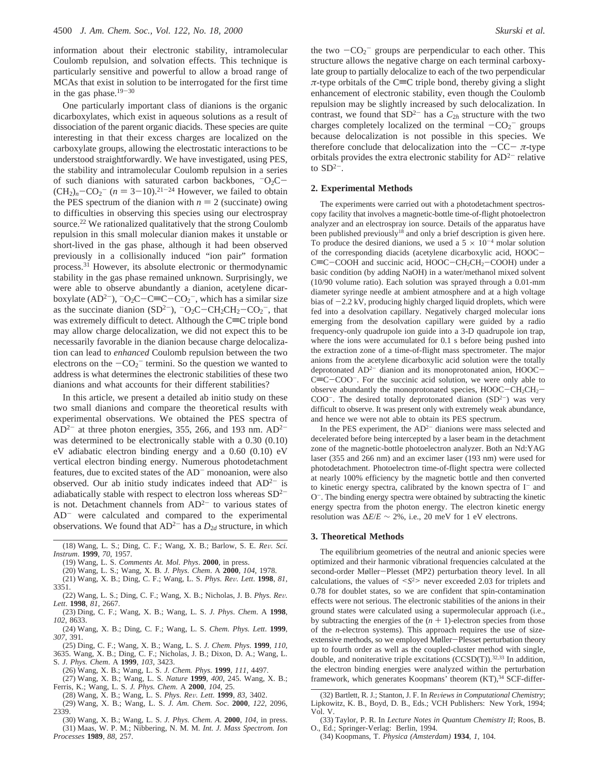information about their electronic stability, intramolecular Coulomb repulsion, and solvation effects. This technique is particularly sensitive and powerful to allow a broad range of MCAs that exist in solution to be interrogated for the first time in the gas phase. $19-30$ 

One particularly important class of dianions is the organic dicarboxylates, which exist in aqueous solutions as a result of dissociation of the parent organic diacids. These species are quite interesting in that their excess charges are localized on the carboxylate groups, allowing the electrostatic interactions to be understood straightforwardly. We have investigated, using PES, the stability and intramolecular Coulomb repulsion in a series of such dianions with saturated carbon backbones,  $-O_2C (CH_2)_n$ – $CO_2^-$  ( $n = 3-10$ ).<sup>21–24</sup> However, we failed to obtain the PFS spectrum of the diappon with  $n = 2$  (succinate) owing the PES spectrum of the dianion with  $n = 2$  (succinate) owing to difficulties in observing this species using our electrospray source.<sup>22</sup> We rationalized qualitatively that the strong Coulomb repulsion in this small molecular dianion makes it unstable or short-lived in the gas phase, although it had been observed previously in a collisionally induced "ion pair" formation process.31 However, its absolute electronic or thermodynamic stability in the gas phase remained unknown. Surprisingly, we were able to observe abundantly a dianion, acetylene dicarboxylate (AD<sup>2-</sup>),  $\overline{O_2C} - \overline{C} = \overline{C} - \overline{CO_2}$ <br>as the succinate dianion (SD<sup>2-</sup>)  $\overline{O}$ boxylate  $(AD<sup>2</sup>), -O<sub>2</sub>C-C \equiv C - CO<sub>2</sub>$ , which has a similar size as the succinate dianion  $(SD^{2-})$ ,  $\neg Q_2C-\text{CH}_2\text{CH}_2-\text{CO}_2$ , that was extremely difficult to detect. Although the  $C \equiv C$  triple bond was extremely difficult to detect. Although the  $C\equiv C$  triple bond may allow charge delocalization, we did not expect this to be necessarily favorable in the dianion because charge delocalization can lead to *enhanced* Coulomb repulsion between the two electrons on the  $-CO<sub>2</sub>$  termini. So the question we wanted to address is what determines the electronic stabilities of these two address is what determines the electronic stabilities of these two dianions and what accounts for their different stabilities?

In this article, we present a detailed ab initio study on these two small dianions and compare the theoretical results with experimental observations. We obtained the PES spectra of  $AD^{2-}$  at three photon energies, 355, 266, and 193 nm.  $AD^{2-}$ was determined to be electronically stable with a 0.30 (0.10) eV adiabatic electron binding energy and a 0.60 (0.10) eV vertical electron binding energy. Numerous photodetachment features, due to excited states of the AD<sup>-</sup> monoanion, were also observed. Our ab initio study indicates indeed that  $AD^{2-}$  is adiabatically stable with respect to electron loss whereas  $SD<sup>2</sup>$ is not. Detachment channels from  $AD^{2-}$  to various states of AD- were calculated and compared to the experimental observations. We found that  $AD^{2-}$  has a  $D_{2d}$  structure, in which

- (22) Wang, L. S.; Ding, C. F.; Wang, X. B.; Nicholas, J. B. *Phys. Re*V*. Lett*. **1998**, *81*, 2667.
- (23) Ding, C. F.; Wang, X. B.; Wang, L. S. *J. Phys*. *Chem*. A **1998**, *102*, 8633.
- (24) Wang, X. B.; Ding, C. F.; Wang, L. S. *Chem. Phys. Lett*. **1999**, *307*, 391.
- (25) Ding, C. F.; Wang, X. B.; Wang, L. S. *J. Chem. Phys*. **1999**, *110*, 3635. Wang, X. B.; Ding, C. F.; Nicholas, J. B.; Dixon, D. A.; Wang, L. S. *J. Phys. Chem*. A **1999**, *103*, 3423.
- (26) Wang, X. B.; Wang, L. S. *J. Chem. Phys*. **1999**, *111*, 4497.

(27) Wang, X. B.; Wang, L. S. *Nature* **1999**, *400*, 245. Wang, X. B.; Ferris, K.; Wang, L. S. *J. Phys. Chem*. A **2000**, *104*, 25.

(28) Wang, X. B.; Wang, L. S. *Phys. Re*V*. Lett*. **<sup>1999</sup>**, *<sup>83</sup>*, 3402.

(29) Wang, X. B.; Wang, L. S. *J. Am. Chem. Soc*. **2000**, *122*, 2096, 2339.

(30) Wang, X. B.; Wang, L. S. *J. Phys. Chem. A*. **2000**, *104*, in press. (31) Maas, W. P. M.; Nibbering, N. M. M. *Int. J. Mass Spectrom. Ion Processes* **1989**, *88*, 257.

the two  $-CO_2$ <sup>-</sup> groups are perpendicular to each other. This structure allows the negative charge on each terminal carboxystructure allows the negative charge on each terminal carboxylate group to partially delocalize to each of the two perpendicular  $\pi$ -type orbitals of the C $\equiv$ C triple bond, thereby giving a slight enhancement of electronic stability, even though the Coulomb repulsion may be slightly increased by such delocalization. In contrast, we found that  $SD^{2-}$  has a  $C_{2h}$  structure with the two charges completely localized on the terminal  $-CO_2$ <sup>-</sup> groups<br>because delocalization is not possible in this species. We because delocalization is not possible in this species. We therefore conclude that delocalization into the  $-CC-\pi$ -type orbitals provides the extra electronic stability for  $AD^{2-}$  relative to  $SD^{2-}$ .

# **2. Experimental Methods**

The experiments were carried out with a photodetachment spectroscopy facility that involves a magnetic-bottle time-of-flight photoelectron analyzer and an electrospray ion source. Details of the apparatus have been published previously<sup>18</sup> and only a brief description is given here. To produce the desired dianions, we used a  $5 \times 10^{-4}$  molar solution of the corresponding diacids (acetylene dicarboxylic acid, HOOC- $C=$ C $-$ COOH and succinic acid, HOOC $-$ CH<sub>2</sub>CH<sub>2</sub> $-$ COOH) under a basic condition (by adding NaOH) in a water/methanol mixed solvent (10/90 volume ratio). Each solution was sprayed through a 0.01-mm diameter syringe needle at ambient atmosphere and at a high voltage bias of  $-2.2$  kV, producing highly charged liquid droplets, which were fed into a desolvation capillary. Negatively charged molecular ions emerging from the desolvation capillary were guided by a radio frequency-only quadrupole ion guide into a 3-D quadrupole ion trap, where the ions were accumulated for 0.1 s before being pushed into the extraction zone of a time-of-flight mass spectrometer. The major anions from the acetylene dicarboxylic acid solution were the totally deprotonated AD<sup>2-</sup> dianion and its monoprotonated anion, HOOC- $C\equiv C-COO^{-}$ . For the succinic acid solution, we were only able to observe abundantly the monoprotonated species,  $HOOC-CH_2CH_2-$ COO<sup>-</sup>. The desired totally deprotonated dianion  $(SD<sup>2</sup>)$  was very difficult to observe. It was present only with extremely weak abundance, and hence we were not able to obtain its PES spectrum.

In the PES experiment, the  $AD^{2-}$  dianions were mass selected and decelerated before being intercepted by a laser beam in the detachment zone of the magnetic-bottle photoelectron analyzer. Both an Nd:YAG laser (355 and 266 nm) and an excimer laser (193 nm) were used for photodetachment. Photoelectron time-of-flight spectra were collected at nearly 100% efficiency by the magnetic bottle and then converted to kinetic energy spectra, calibrated by the known spectra of  $I^-$  and O-. The binding energy spectra were obtained by subtracting the kinetic energy spectra from the photon energy. The electron kinetic energy resolution was  $\Delta E/E \sim 2\%$ , i.e., 20 meV for 1 eV electrons.

#### **3. Theoretical Methods**

The equilibrium geometries of the neutral and anionic species were optimized and their harmonic vibrational frequencies calculated at the second-order Møller-Plesset (MP2) perturbation theory level. In all calculations, the values of  $\langle S^2 \rangle$  never exceeded 2.03 for triplets and 0.78 for doublet states, so we are confident that spin-contamination effects were not serious. The electronic stabilities of the anions in their ground states were calculated using a supermolecular approach (i.e., by subtracting the energies of the  $(n + 1)$ -electron species from those of the *n*-electron systems). This approach requires the use of sizeextensive methods, so we employed Møller-Plesset perturbation theory up to fourth order as well as the coupled-cluster method with single, double, and noniterative triple excitations  $(CCSD(T))$ .<sup>32,33</sup> In addition, the electron binding energies were analyzed within the perturbation framework, which generates Koopmans' theorem (KT),<sup>34</sup> SCF-differ-

<sup>(18)</sup> Wang, L. S.; Ding, C. F.; Wang, X. B.; Barlow, S. E. *Re*V*. Sci. Instrum*. **1999**, *70*, 1957.

<sup>(19)</sup> Wang, L. S. *Comments At. Mol. Phys*. **2000**, in press.

<sup>(20)</sup> Wang, L. S.; Wang, X. B. *J. Phys. Chem*. A **2000**, *104*, 1978.

<sup>(21)</sup> Wang, X. B.; Ding, C. F.; Wang, L. S. *Phys. Re*V*. Lett*. **<sup>1998</sup>**, *<sup>81</sup>*, 3351.

<sup>(32)</sup> Bartlett, R. J.; Stanton, J. F. In *Reviews in Computational Chemistry*; Lipkowitz, K. B., Boyd, D. B., Eds.; VCH Publishers: New York, 1994; Vol. V.

<sup>(33)</sup> Taylor, P. R. In *Lecture Notes in Quantum Chemistry II*; Roos, B. O., Ed.; Springer-Verlag: Berlin, 1994.

<sup>(34)</sup> Koopmans, T. *Physica (Amsterdam)* **1934**, *1*, 104.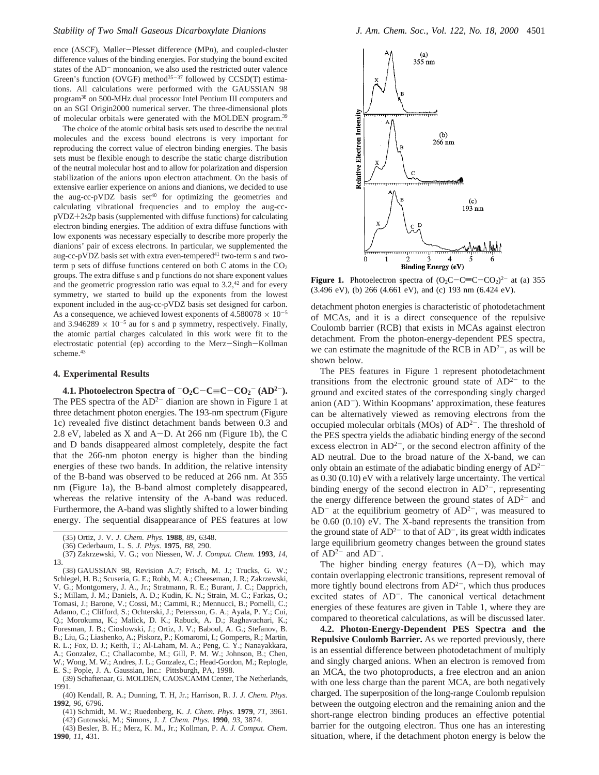ence (∆SCF), Møller-Plesset difference (MP*n*), and coupled-cluster difference values of the binding energies. For studying the bound excited states of the AD<sup>-</sup> monoanion, we also used the restricted outer valence Green's function (OVGF) method<sup>35-37</sup> followed by CCSD(T) estimations. All calculations were performed with the GAUSSIAN 98 program38 on 500-MHz dual processor Intel Pentium III computers and on an SGI Origin2000 numerical server. The three-dimensional plots of molecular orbitals were generated with the MOLDEN program.39

The choice of the atomic orbital basis sets used to describe the neutral molecules and the excess bound electrons is very important for reproducing the correct value of electron binding energies. The basis sets must be flexible enough to describe the static charge distribution of the neutral molecular host and to allow for polarization and dispersion stabilization of the anions upon electron attachment. On the basis of extensive earlier experience on anions and dianions, we decided to use the aug-cc-pVDZ basis set<sup>40</sup> for optimizing the geometries and calculating vibrational frequencies and to employ the aug-ccpVDZ+2s2p basis (supplemented with diffuse functions) for calculating electron binding energies. The addition of extra diffuse functions with low exponents was necessary especially to describe more properly the dianions' pair of excess electrons. In particular, we supplemented the aug-cc-pVDZ basis set with extra even-tempered $41$  two-term s and twoterm p sets of diffuse functions centered on both C atoms in the  $CO<sub>2</sub>$ groups. The extra diffuse s and p functions do not share exponent values and the geometric progression ratio was equal to  $3.2$ ,<sup>42</sup> and for every symmetry, we started to build up the exponents from the lowest exponent included in the aug-cc-pVDZ basis set designed for carbon. As a consequence, we achieved lowest exponents of  $4.580078 \times 10^{-5}$ and 3.946289  $\times$  10<sup>-5</sup> au for s and p symmetry, respectively. Finally, the atomic partial charges calculated in this work were fit to the electrostatic potential (ep) according to the Merz-Singh-Kollman scheme.<sup>43</sup>

#### **4. Experimental Results**

**4.1. Photoelectron Spectra of**  $\bigcirc$ **<sub>2</sub>C** $\bigcirc$ **C** $\bigcirc$ **EC** $\bigcirc$ **CO**<sub>2</sub><sup> $\bigcirc$ </sup> **(AD<sup>2–</sup>).**<br>Le PES spectra of the AD<sup>2–</sup> dianion are shown in Figure 1 at The PES spectra of the  $AD^{2-}$  dianion are shown in Figure 1 at three detachment photon energies. The 193-nm spectrum (Figure 1c) revealed five distinct detachment bands between 0.3 and 2.8 eV, labeled as X and  $A-D$ . At 266 nm (Figure 1b), the C and D bands disappeared almost completely, despite the fact that the 266-nm photon energy is higher than the binding energies of these two bands. In addition, the relative intensity of the B-band was observed to be reduced at 266 nm. At 355 nm (Figure 1a), the B-band almost completely disappeared, whereas the relative intensity of the A-band was reduced. Furthermore, the A-band was slightly shifted to a lower binding energy. The sequential disappearance of PES features at low

(37) Zakrzewski, V. G.; von Niessen, W. *J. Comput. Chem.* **1993**, *14*, 13.

(39) Schaftenaar, G. MOLDEN, CAOS/CAMM Center, The Netherlands, 1991.

- (40) Kendall, R. A.; Dunning, T. H, Jr.; Harrison, R. J. *J. Chem. Phys.* **1992**, *96*, 6796.
	- (41) Schmidt, M. W.; Ruedenberg, K. *J. Chem. Phys.* **1979**, *71*, 3961. (42) Gutowski, M.; Simons, J. *J. Chem. Phys.* **1990**, *93*, 3874.
- (43) Besler, B. H.; Merz, K. M., Jr.; Kollman, P. A. *J. Comput. Chem.* **1990**, *11*, 431.



**Figure 1.** Photoelectron spectra of  $(O_2C-C\equiv C-CO_2)^{2-}$  at (a) 355 (3.496 eV), (b) 266 (4.661 eV), and (c) 193 nm (6.424 eV).

detachment photon energies is characteristic of photodetachment of MCAs, and it is a direct consequence of the repulsive Coulomb barrier (RCB) that exists in MCAs against electron detachment. From the photon-energy-dependent PES spectra, we can estimate the magnitude of the RCB in  $AD^{2-}$ , as will be shown below.

The PES features in Figure 1 represent photodetachment transitions from the electronic ground state of  $AD^{2-}$  to the ground and excited states of the corresponding singly charged anion (AD-). Within Koopmans' approximation, these features can be alternatively viewed as removing electrons from the occupied molecular orbitals (MOs) of  $AD<sup>2</sup>$ . The threshold of the PES spectra yields the adiabatic binding energy of the second excess electron in  $AD^{2-}$ , or the second electron affinity of the AD neutral. Due to the broad nature of the X-band, we can only obtain an estimate of the adiabatic binding energy of  $AD^{2-}$ as 0.30 (0.10) eV with a relatively large uncertainty. The vertical binding energy of the second electron in  $AD^{2-}$ , representing the energy difference between the ground states of  $AD^{2-}$  and  $AD^-$  at the equilibrium geometry of  $AD^{2-}$ , was measured to be 0.60 (0.10) eV. The X-band represents the transition from the ground state of  $AD^{2-}$  to that of  $AD^{-}$ , its great width indicates large equilibrium geometry changes between the ground states of  $AD^{2-}$  and  $AD^{-}$ .

The higher binding energy features  $(A-D)$ , which may contain overlapping electronic transitions, represent removal of more tightly bound electrons from  $AD^{2-}$ , which thus produces excited states of AD-. The canonical vertical detachment energies of these features are given in Table 1, where they are compared to theoretical calculations, as will be discussed later.

**4.2. Photon-Energy-Dependent PES Spectra and the Repulsive Coulomb Barrier.** As we reported previously, there is an essential difference between photodetachment of multiply and singly charged anions. When an electron is removed from an MCA, the two photoproducts, a free electron and an anion with one less charge than the parent MCA, are both negatively charged. The superposition of the long-range Coulomb repulsion between the outgoing electron and the remaining anion and the short-range electron binding produces an effective potential barrier for the outgoing electron. Thus one has an interesting situation, where, if the detachment photon energy is below the

<sup>(35)</sup> Ortiz, J. V. *J. Chem. Phys.* **1988**, *89*, 6348.

<sup>(36)</sup> Cederbaum, L. S. *J. Phys.* **1975**, *B8*, 290.

<sup>(38)</sup> GAUSSIAN 98, Revision A.7; Frisch, M. J.; Trucks, G. W.; Schlegel, H. B.; Scuseria, G. E.; Robb, M. A.; Cheeseman, J. R.; Zakrzewski, V. G.; Montgomery, J. A., Jr.; Stratmann, R. E.; Burant, J. C.; Dapprich, S.; Millam, J. M.; Daniels, A. D.; Kudin, K. N.; Strain, M. C.; Farkas, O.; Tomasi, J.; Barone, V.; Cossi, M.; Cammi, R.; Mennucci, B.; Pomelli, C.; Adamo, C.; Clifford, S.; Ochterski, J.; Petersson, G. A.; Ayala, P. Y.; Cui, Q.; Morokuma, K.; Malick, D. K.; Rabuck, A. D.; Raghavachari, K.; Foresman, J. B.; Cioslowski, J.; Ortiz, J. V.; Baboul, A. G.; Stefanov, B. B.; Liu, G.; Liashenko, A.; Piskorz, P.; Komaromi, I.; Gomperts, R.; Martin, R. L.; Fox, D. J.; Keith, T.; Al-Laham, M. A.; Peng, C. Y.; Nanayakkara, A.; Gonzalez, C.; Challacombe, M.; Gill, P. M. W.; Johnson, B.; Chen, W.; Wong, M. W.; Andres, J. L.; Gonzalez, C.; Head-Gordon, M.; Replogle, E. S.; Pople, J. A. Gaussian, Inc.: Pittsburgh, PA, 1998.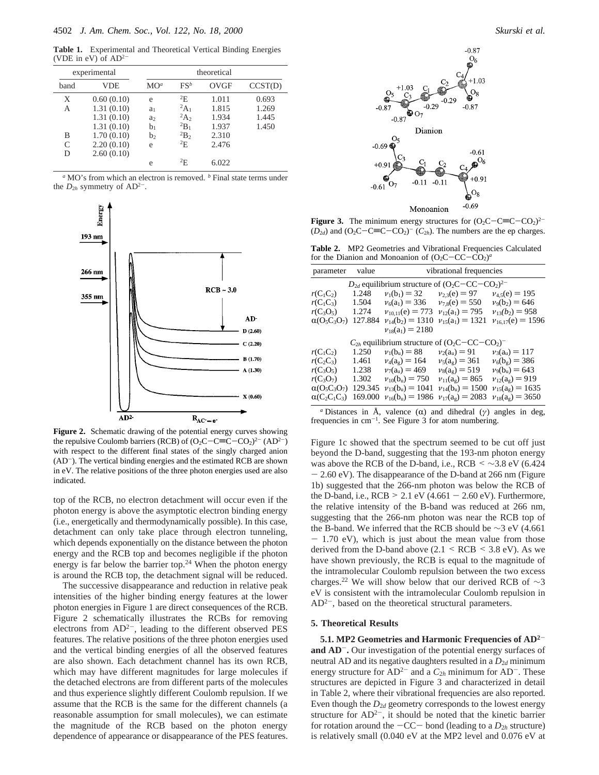**Table 1.** Experimental and Theoretical Vertical Binding Energies (VDE in eV) of AD2-

| experimental |            | theoretical     |             |       |         |
|--------------|------------|-----------------|-------------|-------|---------|
| band         | VDE        | MO <sup>a</sup> | $FS^b$      | OVGF  | CCST(D) |
| X            | 0.60(0.10) | e               | $^{2}E$     | 1.011 | 0.693   |
| А            | 1.31(0.10) | a <sub>1</sub>  | $^{2}A_{1}$ | 1.815 | 1.269   |
|              | 1.31(0.10) | a <sub>2</sub>  | $^{2}A_{2}$ | 1.934 | 1.445   |
|              | 1.31(0.10) | $b_1$           | ${}^{2}B_1$ | 1.937 | 1.450   |
| B            | 1.70(0.10) | b <sub>2</sub>  | $^{2}B_{2}$ | 2.310 |         |
| C            | 2.20(0.10) | e               | $^{2}E$     | 2.476 |         |
| D            | 2.60(0.10) |                 |             |       |         |
|              |            | e               | $^{2}E$     | 6.022 |         |

*<sup>a</sup>* MO's from which an electron is removed. *<sup>b</sup>* Final state terms under the  $D_{2h}$  symmetry of  $AD^{2-}$ .



**Figure 2.** Schematic drawing of the potential energy curves showing the repulsive Coulomb barriers (RCB) of  $(O_2C-C\equiv C-CO_2)^{2-} (AD^{2-})$ with respect to the different final states of the singly charged anion (AD-). The vertical binding energies and the estimated RCB are shown in eV. The relative positions of the three photon energies used are also indicated.

top of the RCB, no electron detachment will occur even if the photon energy is above the asymptotic electron binding energy (i.e., energetically and thermodynamically possible). In this case, detachment can only take place through electron tunneling, which depends exponentially on the distance between the photon energy and the RCB top and becomes negligible if the photon energy is far below the barrier top.<sup>24</sup> When the photon energy is around the RCB top, the detachment signal will be reduced.

The successive disappearance and reduction in relative peak intensities of the higher binding energy features at the lower photon energies in Figure 1 are direct consequences of the RCB. Figure 2 schematically illustrates the RCBs for removing electrons from  $AD^{2-}$ , leading to the different observed PES features. The relative positions of the three photon energies used and the vertical binding energies of all the observed features are also shown. Each detachment channel has its own RCB, which may have different magnitudes for large molecules if the detached electrons are from different parts of the molecules and thus experience slightly different Coulomb repulsion. If we assume that the RCB is the same for the different channels (a reasonable assumption for small molecules), we can estimate the magnitude of the RCB based on the photon energy dependence of appearance or disappearance of the PES features.



**Figure 3.** The minimum energy structures for  $(O_2C-C\equiv C-CO_2)^{2-}$  $(D_{2d})$  and  $(O_2C-C\equiv C-CO_2)^{-1}(C_{2h})$ . The numbers are the ep charges.

**Table 2.** MP2 Geometries and Vibrational Frequencies Calculated for the Dianion and Monoanion of  $(O_2C-CC-CO_2)^a$ 

| value<br>parameter                                       |         | vibrational frequencies   |                      |                        |  |
|----------------------------------------------------------|---------|---------------------------|----------------------|------------------------|--|
| $D_{2d}$ equilibrium structure of $(O_2C-CC-CO_2)^{2-}$  |         |                           |                      |                        |  |
| $r(C_1C_2)$                                              | 1.248   | $v_1(b_1) = 32$           | $v_{2,3}(e) = 97$    | $v_{4.5}(e) = 195$     |  |
| $r(C_1C_3)$                                              | 1.504   | $v_6(a_1) = 336$          | $v_{7.8}(e) = 550$   | $v_9(b_2) = 646$       |  |
| $r(C_3O_5)$                                              | 1.274   | $v_{10.11}(e) = 773$      | $v_{12}(a_1) = 795$  | $v_{13}(b_2) = 958$    |  |
| $\alpha$ (O <sub>5</sub> C <sub>3</sub> O <sub>7</sub> ) | 127.884 | $v_{14}(b_2) = 1310$      | $v_{15}(a_1) = 1321$ | $v_{16.17}(e) = 1596$  |  |
|                                                          |         | $v_{18}(a_1) = 2180$      |                      |                        |  |
| $C_{2h}$ equilibrium structure of $(O_2C-CC-CO_2)^{-1}$  |         |                           |                      |                        |  |
| $r(C_1C_2)$                                              | 1.250   | $v_1(b_0) = 88$           | $v_2(a_n) = 91$      | $v_3(a_0) = 117$       |  |
| $r(C_2C_3)$                                              | 1.461   | $v_4(a_8) = 164$          | $v_5(a_g) = 361$     | $v_6(b_9) = 386$       |  |
| $r(C_3O_5)$                                              | 1.238   | $v_7(a_u) = 469$          | $v_8(a_g) = 519$     | $v_9(b_{\rm u}) = 643$ |  |
| $r(C_3O_7)$                                              | 1.302   | $v_{10}(b_{\rm u}) = 750$ | $v_{11}(a_g) = 865$  | $v_{12}(a_{9}) = 919$  |  |
| $\alpha$ (O <sub>5</sub> C <sub>3</sub> O <sub>7</sub> ) | 129.345 | $v_{13}(b_u) = 1041$      | $v_{14}(b_u) = 1500$ | $v_{15}(a_g) = 1635$   |  |
| $\alpha(C_2C_1C_3)$                                      | 169.000 | $v_{16}(b_{u}) = 1986$    | $v_{17}(a) = 2083$   | $v_{18}(a_g) = 3650$   |  |

*a* Distances in Å, valence (α) and dihedral ( $γ$ ) angles in deg, frequencies in cm-<sup>1</sup> . See Figure 3 for atom numbering.

Figure 1c showed that the spectrum seemed to be cut off just beyond the D-band, suggesting that the 193-nm photon energy was above the RCB of the D-band, i.e., RCB  $\leq$  ~3.8 eV (6.424)  $- 2.60$  eV). The disappearance of the D-band at 266 nm (Figure 1b) suggested that the 266-nm photon was below the RCB of the D-band, i.e.,  $RCB > 2.1$  eV (4.661 - 2.60 eV). Furthermore, the relative intensity of the B-band was reduced at 266 nm, suggesting that the 266-nm photon was near the RCB top of the B-band. We inferred that the RCB should be ∼3 eV (4.661  $-$  1.70 eV), which is just about the mean value from those derived from the D-band above  $(2.1 \leq RCB \leq 3.8 \text{ eV})$ . As we have shown previously, the RCB is equal to the magnitude of the intramolecular Coulomb repulsion between the two excess charges.22 We will show below that our derived RCB of ∼3 eV is consistent with the intramolecular Coulomb repulsion in  $AD<sup>2</sup>$ , based on the theoretical structural parameters.

### **5. Theoretical Results**

**5.1. MP2 Geometries and Harmonic Frequencies of AD2 and AD**-**.** Our investigation of the potential energy surfaces of neutral AD and its negative daughters resulted in a  $D_{2d}$  minimum energy structure for  $AD^{2-}$  and a  $C_{2h}$  minimum for  $AD^{-}$ . These structures are depicted in Figure 3 and characterized in detail in Table 2, where their vibrational frequencies are also reported. Even though the  $D_{2d}$  geometry corresponds to the lowest energy structure for  $AD^{2-}$ , it should be noted that the kinetic barrier for rotation around the  $-CC$  bond (leading to a  $D_{2h}$  structure) is relatively small (0.040 eV at the MP2 level and 0.076 eV at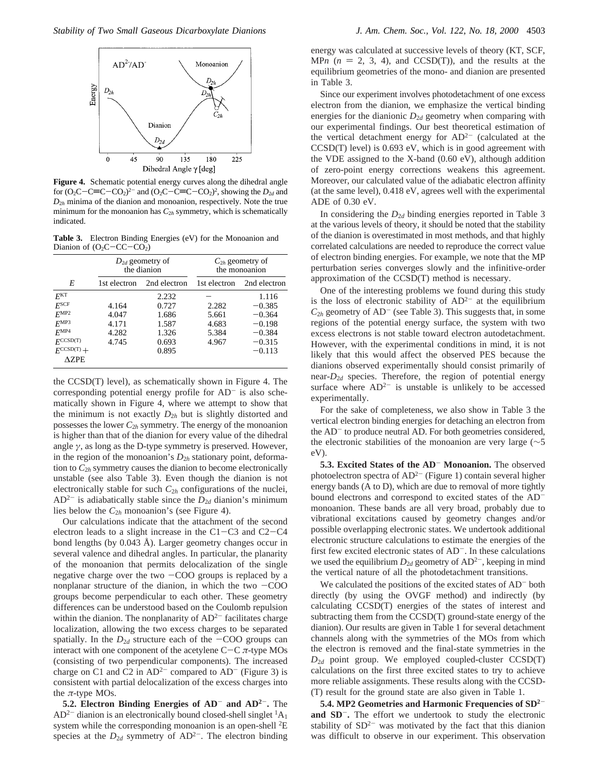

**Figure 4.** Schematic potential energy curves along the dihedral angle for  $(O_2C-C\equiv C-CO_2)^2$  and  $(O_2C-C\equiv C-CO_2)^2$ , showing the  $D_{2d}$  and  $D_{2d}$  and  $D_{2d}$  and monographic respectively. Note the true  $D_{2h}$  minima of the dianion and monoanion, respectively. Note the true minimum for the monoanion has  $C_{2h}$  symmetry, which is schematically indicated.

**Table 3.** Electron Binding Energies (eV) for the Monoanion and Dianion of  $(O_2C-CC-CO_2)$ 

|                  | $D_{2d}$ geometry of<br>the dianion |              | $C_{2h}$ geometry of<br>the monoanion |              |
|------------------|-------------------------------------|--------------|---------------------------------------|--------------|
| E                | 1st electron                        | 2nd electron | 1st electron                          | 2nd electron |
| F <sup>KT</sup>  |                                     | 2.232        |                                       | 1.116        |
| F <sub>SCF</sub> | 4.164                               | 0.727        | 2.282                                 | $-0.385$     |
| $F^{\text{MP2}}$ | 4.047                               | 1.686        | 5.661                                 | $-0.364$     |
| F <sup>MP3</sup> | 4.171                               | 1.587        | 4.683                                 | $-0.198$     |
| $F^{\text{MP4}}$ | 4.282                               | 1.326        | 5.384                                 | $-0.384$     |
| $F^{CCSD(T)}$    | 4.745                               | 0.693        | 4.967                                 | $-0.315$     |
| $F^{CCSD(T)} +$  |                                     | 0.895        |                                       | $-0.113$     |
| AZPE             |                                     |              |                                       |              |

the CCSD(T) level), as schematically shown in Figure 4. The corresponding potential energy profile for AD<sup>-</sup> is also schematically shown in Figure 4, where we attempt to show that the minimum is not exactly  $D_{2h}$  but is slightly distorted and possesses the lower *C*<sup>2</sup>*<sup>h</sup>* symmetry. The energy of the monoanion is higher than that of the dianion for every value of the dihedral angle  $\gamma$ , as long as the D-type symmetry is preserved. However, in the region of the monoanion's  $D_{2h}$  stationary point, deformation to  $C_{2h}$  symmetry causes the dianion to become electronically unstable (see also Table 3). Even though the dianion is not electronically stable for such *C*<sup>2</sup>*<sup>h</sup>* configurations of the nuclei,  $AD^{2-}$  is adiabatically stable since the  $D_{2d}$  dianion's minimum lies below the *C*<sup>2</sup>*<sup>h</sup>* monoanion's (see Figure 4).

Our calculations indicate that the attachment of the second electron leads to a slight increase in the  $C1-C3$  and  $C2-C4$ bond lengths (by 0.043 Å). Larger geometry changes occur in several valence and dihedral angles. In particular, the planarity of the monoanion that permits delocalization of the single negative charge over the two  $-COO$  groups is replaced by a nonplanar structure of the dianion, in which the two  $-COO$ groups become perpendicular to each other. These geometry differences can be understood based on the Coulomb repulsion within the dianion. The nonplanarity of  $AD<sup>2-</sup>$  facilitates charge localization, allowing the two excess charges to be separated spatially. In the  $D_{2d}$  structure each of the  $-COO$  groups can interact with one component of the acetylene  $C-C \pi$ -type MOs (consisting of two perpendicular components). The increased charge on C1 and C2 in  $AD^{2-}$  compared to  $AD^{-}$  (Figure 3) is consistent with partial delocalization of the excess charges into the  $\pi$ -type MOs.

**5.2. Electron Binding Energies of AD**- **and AD2**-**.** The  $AD^{2-}$  dianion is an electronically bound closed-shell singlet  ${}^{1}A_1$ system while the corresponding monoanion is an open-shell <sup>2</sup>E species at the  $D_{2d}$  symmetry of  $AD^{2-}$ . The electron binding

energy was calculated at successive levels of theory (KT, SCF, MP $n$  ( $n = 2, 3, 4$ ), and CCSD(T)), and the results at the equilibrium geometries of the mono- and dianion are presented in Table 3.

Since our experiment involves photodetachment of one excess electron from the dianion, we emphasize the vertical binding energies for the dianionic  $D_{2d}$  geometry when comparing with our experimental findings. Our best theoretical estimation of the vertical detachment energy for  $AD^{2-}$  (calculated at the CCSD(T) level) is 0.693 eV, which is in good agreement with the VDE assigned to the X-band (0.60 eV), although addition of zero-point energy corrections weakens this agreement. Moreover, our calculated value of the adiabatic electron affinity (at the same level), 0.418 eV, agrees well with the experimental ADE of 0.30 eV.

In considering the  $D_{2d}$  binding energies reported in Table 3 at the various levels of theory, it should be noted that the stability of the dianion is overestimated in most methods, and that highly correlated calculations are needed to reproduce the correct value of electron binding energies. For example, we note that the MP perturbation series converges slowly and the infinitive-order approximation of the CCSD(T) method is necessary.

One of the interesting problems we found during this study is the loss of electronic stability of  $AD^{2-}$  at the equilibrium  $C_{2h}$  geometry of AD<sup>-</sup> (see Table 3). This suggests that, in some regions of the potential energy surface, the system with two excess electrons is not stable toward electron autodetachment. However, with the experimental conditions in mind, it is not likely that this would affect the observed PES because the dianions observed experimentally should consist primarily of near- $D_{2d}$  species. Therefore, the region of potential energy surface where  $AD^{2-}$  is unstable is unlikely to be accessed experimentally.

For the sake of completeness, we also show in Table 3 the vertical electron binding energies for detaching an electron from the AD<sup>-</sup> to produce neutral AD. For both geometries considered, the electronic stabilities of the monoanion are very large (∼5 eV).

**5.3. Excited States of the AD**- **Monoanion.** The observed photoelectron spectra of  $AD^{2-}$  (Figure 1) contain several higher energy bands (A to D), which are due to removal of more tightly bound electrons and correspond to excited states of the ADmonoanion. These bands are all very broad, probably due to vibrational excitations caused by geometry changes and/or possible overlapping electronic states. We undertook additional electronic structure calculations to estimate the energies of the first few excited electronic states of AD-. In these calculations we used the equilibrium  $D_{2d}$  geometry of  $AD^{2-}$ , keeping in mind the vertical nature of all the photodetachment transitions.

We calculated the positions of the excited states of AD<sup>-</sup> both directly (by using the OVGF method) and indirectly (by calculating CCSD(T) energies of the states of interest and subtracting them from the CCSD(T) ground-state energy of the dianion). Our results are given in Table 1 for several detachment channels along with the symmetries of the MOs from which the electron is removed and the final-state symmetries in the  $D_{2d}$  point group. We employed coupled-cluster  $CCSD(T)$ calculations on the first three excited states to try to achieve more reliable assignments. These results along with the CCSD- (T) result for the ground state are also given in Table 1.

**5.4. MP2 Geometries and Harmonic Frequencies of SD2 and SD**-**.** The effort we undertook to study the electronic stability of  $SD<sup>2-</sup>$  was motivated by the fact that this dianion was difficult to observe in our experiment. This observation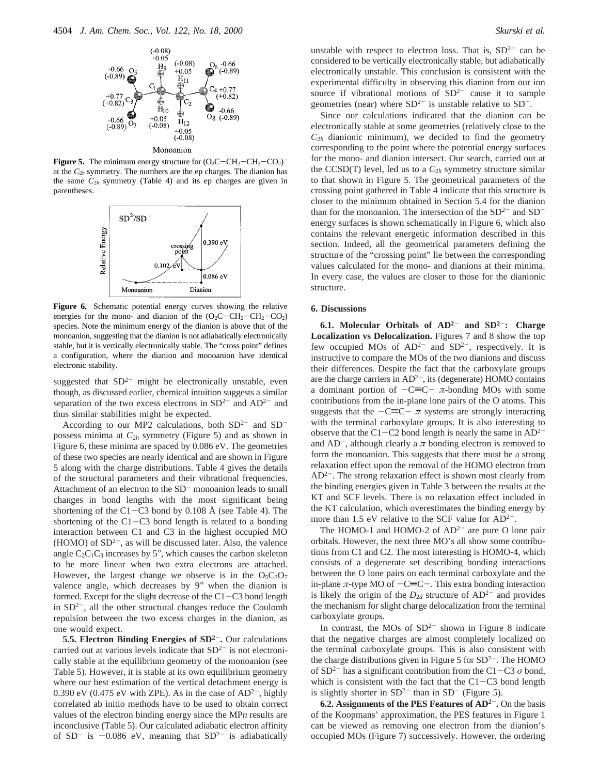

**Figure 5.** The minimum energy structure for  $(O_2C-CH_2-CH_2-CO_2)^{-1}$ <br>at the C<sub>2</sub> symmetry. The numbers are the en-charges. The dianion has at the *C*<sup>2</sup>*<sup>h</sup>* symmetry. The numbers are the ep charges. The dianion has the same  $C_{2h}$  symmetry (Table 4) and its ep charges are given in parentheses.



**Figure 6.** Schematic potential energy curves showing the relative energies for the mono- and dianion of the  $(O_2C-CH_2-CH_2-CO_2)$ species. Note the minimum energy of the dianion is above that of the monoanion, suggesting that the dianion is not adiabatically electronically stable, but it is vertically electronically stable. The "cross point" defines a configuration, where the dianion and monoanion have identical electronic stability.

suggested that  $SD<sup>2-</sup>$  might be electronically unstable, even though, as discussed earlier, chemical intuition suggests a similar separation of the two excess electrons in  $SD^{2-}$  and  $AD^{2-}$  and thus similar stabilities might be expected.

According to our MP2 calculations, both  $SD<sup>2-</sup>$  and  $SD$ possess minima at *C*<sup>2</sup>*<sup>h</sup>* symmetry (Figure 5) and as shown in Figure 6, these minima are spaced by 0.086 eV. The geometries of these two species are nearly identical and are shown in Figure 5 along with the charge distributions. Table 4 gives the details of the structural parameters and their vibrational frequencies. Attachment of an electron to the SD<sup>-</sup> monoanion leads to small changes in bond lengths with the most significant being shortening of the C1–C3 bond by 0.108 Å (see Table 4). The shortening of the  $C1-C3$  bond length is related to a bonding interaction between C1 and C3 in the highest occupied MO (HOMO) of  $SD^{2-}$ , as will be discussed later. Also, the valence angle  $C_2C_1C_3$  increases by  $5^\circ$ , which causes the carbon skeleton to be more linear when two extra electrons are attached. However, the largest change we observe is in the  $O_5C_3O_7$ valence angle, which decreases by 9° when the dianion is formed. Except for the slight decrease of the  $C1-C3$  bond length in  $SD<sup>2</sup>$ , all the other structural changes reduce the Coulomb repulsion between the two excess charges in the dianion, as one would expect.

**5.5. Electron Binding Energies of SD2**-**.** Our calculations carried out at various levels indicate that  $SD<sup>2-</sup>$  is not electronically stable at the equilibrium geometry of the monoanion (see Table 5). However, it is stable at its own equilibrium geometry where our best estimation of the vertical detachment energy is 0.390 eV (0.475 eV with ZPE). As in the case of  $AD<sup>2</sup>$ , highly correlated ab initio methods have to be used to obtain correct values of the electron binding energy since the MP*n* results are inconclusive (Table 5). Our calculated adiabatic electron affinity of SD<sup>-</sup> is  $-0.086$  eV, meaning that SD<sup>2-</sup> is adiabatically unstable with respect to electron loss. That is,  $SD<sup>2</sup>$  can be considered to be vertically electronically stable, but adiabatically electronically unstable. This conclusion is consistent with the experimental difficulty in observing this dianion from our ion source if vibrational motions of  $SD<sup>2-</sup>$  cause it to sample geometries (near) where  $SD^{2-}$  is unstable relative to  $SD^{-}$ .

Since our calculations indicated that the dianion can be electronically stable at some geometries (relatively close to the  $C_{2h}$  dianionic minimum), we decided to find the geometry corresponding to the point where the potential energy surfaces for the mono- and dianion intersect. Our search, carried out at the CCSD(T) level, led us to a  $C_{2h}$  symmetry structure similar to that shown in Figure 5. The geometrical parameters of the crossing point gathered in Table 4 indicate that this structure is closer to the minimum obtained in Section 5.4 for the dianion than for the monoanion. The intersection of the  $SD<sup>2-</sup>$  and  $SD$ energy surfaces is shown schematically in Figure 6, which also contains the relevant energetic information described in this section. Indeed, all the geometrical parameters defining the structure of the "crossing point" lie between the corresponding values calculated for the mono- and dianions at their minima. In every case, the values are closer to those for the dianionic structure.

#### **6. Discussions**

**6.1. Molecular Orbitals of AD2**- **and SD2**-**: Charge Localization vs Delocalization.** Figures 7 and 8 show the top few occupied MOs of  $AD^{2-}$  and  $SD^{2-}$ , respectively. It is instructive to compare the MOs of the two dianions and discuss their differences. Despite the fact that the carboxylate groups are the charge carriers in  $AD<sup>2</sup>$ , its (degenerate) HOMO contains a dominant portion of  $-C\equiv C-\pi$ -bonding MOs with some contributions from the in-plane lone pairs of the O atoms. This suggests that the  $-C\equiv C-\pi$  systems are strongly interacting with the terminal carboxylate groups. It is also interesting to observe that the C1-C2 bond length is nearly the same in  $AD^{2-}$ and  $AD^-$ , although clearly a  $\pi$  bonding electron is removed to form the monoanion. This suggests that there must be a strong relaxation effect upon the removal of the HOMO electron from  $AD^{2-}$ . The strong relaxation effect is shown most clearly from the binding energies given in Table 3 between the results at the KT and SCF levels. There is no relaxation effect included in the KT calculation, which overestimates the binding energy by more than 1.5 eV relative to the SCF value for  $AD^{2-}$ .

The HOMO-1 and HOMO-2 of  $AD^{2-}$  are pure O lone pair orbitals. However, the next three MO's all show some contributions from C1 and C2. The most interesting is HOMO-4, which consists of a degenerate set describing bonding interactions between the O lone pairs on each terminal carboxylate and the in-plane  $\pi$ -type MO of  $-C\equiv C-$ . This extra bonding interaction is likely the origin of the  $D_{2d}$  structure of  $AD^{2-}$  and provides the mechanism for slight charge delocalization from the terminal carboxylate groups.

In contrast, the MOs of  $SD<sup>2-</sup>$  shown in Figure 8 indicate that the negative charges are almost completely localized on the terminal carboxylate groups. This is also consistent with the charge distributions given in Figure 5 for  $SD<sup>2</sup>$ . The HOMO of  $SD<sup>2</sup>$  has a significant contribution from the C1-C3  $\sigma$  bond, which is consistent with the fact that the  $C1-C3$  bond length is slightly shorter in  $SD^{2-}$  than in  $SD^{-}$  (Figure 5).

**6.2. Assignments of the PES Features of AD2**-**.** On the basis of the Koopmans' approximation, the PES features in Figure 1 can be viewed as removing one electron from the dianion's occupied MOs (Figure 7) successively. However, the ordering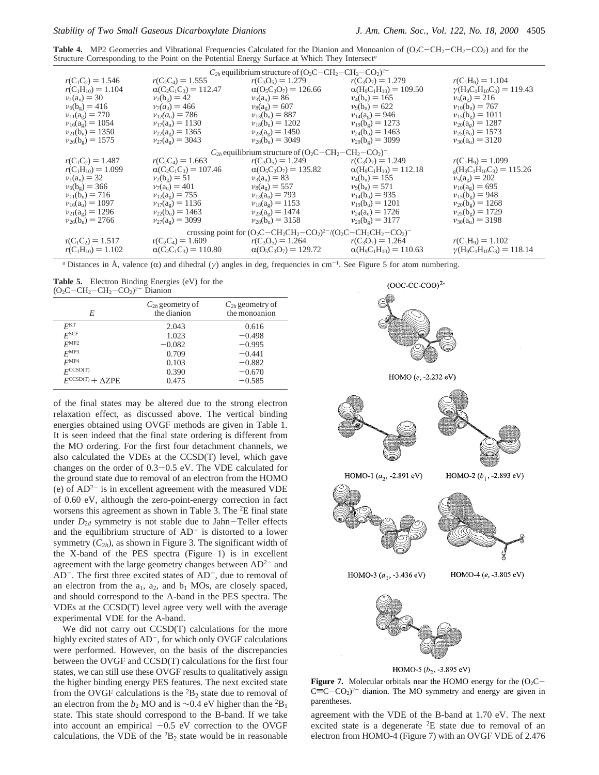**Table 4.** MP2 Geometries and Vibrational Frequencies Calculated for the Dianion and Monoanion of  $(O_2C-CH_2-CH_2-CO_2)$  and for the Structure Corresponding to the Point on the Potential Energy Surface at Which They Intersect*<sup>a</sup>*

| $C_{2h}$ equilibrium structure of $(O_2C-CH_2-CH_2-CO_2)^{2-}$ |                              |                                                                       |                                 |                                                                                 |
|----------------------------------------------------------------|------------------------------|-----------------------------------------------------------------------|---------------------------------|---------------------------------------------------------------------------------|
| $r(C_1C_2) = 1.546$                                            | $r(C_2C_4) = 1.555$          | $r(C_3O_5) = 1.279$                                                   | $r(C_3O_7)=1.279$               | $r(C_1H_9) = 1.104$                                                             |
| $r(C_1H_{10}) = 1.104$                                         | $\alpha(C_2C_1C_3) = 112.47$ | $\alpha(O_5C_3O_7)=126.66$                                            | $\alpha(H_9C_1H_{10}) = 109.50$ | $\gamma(H_9C_1H_{10}C_3) = 119.43$                                              |
| $v_1(a_0) = 30$                                                | $v_2(b_g) = 42$              | $v_3(a_0) = 86$                                                       | $v_4(b_0) = 165$                | $v_5(a_g) = 216$                                                                |
| $v_6(b_9) = 416$                                               | $v_7(a_0) = 466$             | $v_8(a_9) = 607$                                                      | $v_9(b_0) = 622$                | $v_{10}(b_{u}) = 767$                                                           |
| $v_{11}(a_2) = 770$                                            | $v_{12}(a_{\rm u}) = 786$    | $v_{13}(b_n) = 887$                                                   | $v_{14}(a_g) = 946$             | $v_{15}(b_{\rm g}) = 1011$                                                      |
| $v_{16}(a) = 1054$                                             | $v_{17}(a_{\rm u}) = 1130$   | $v_{18}(b_{\rm u}) = 1202$                                            | $v_{19}(b_{\rm g}) = 1273$      | $v_{20}(a_{\nu}) = 1287$                                                        |
| $v_{21}(b_{u}) = 1350$                                         | $v_{22}(a_g) = 1365$         | $v_{23}(a_g) = 1450$                                                  | $v_{24}(b_{\rm u}) = 1463$      | $v_{25}(a_{\rm u}) = 1573$                                                      |
| $v_{26}(b_g) = 1575$                                           | $v_{27}(a_g) = 3043$         | $v_{28}(b_{\rm u}) = 3049$                                            | $v_{29}(b_g) = 3099$            | $v_{30}(a_u) = 3120$                                                            |
|                                                                |                              | $C_{2h}$ equilibrium structure of $(O_2C-CH_2-CH_2-CO_2)^{-1}$        |                                 |                                                                                 |
| $r(C_1C_2) = 1.487$                                            | $r(C_2C_4) = 1.663$          | $r(C_3O_5) = 1.249$                                                   | $r(C_3O_7)=1.249$               | $r(C_1H_9) = 1.099$                                                             |
| $r(C_1H_{10}) = 1.099$                                         | $\alpha(C_2C_1C_3) = 107.46$ | $\alpha$ (O <sub>5</sub> C <sub>3</sub> O <sub>7</sub> ) = 135.82     | $\alpha(H_9C_1H_{10}) = 112.18$ | $_{g}$ (H <sub>9</sub> C <sub>1</sub> H <sub>10</sub> C <sub>3</sub> ) = 115.26 |
| $v_1(a_0) = 32$                                                | $v_2(b_0) = 51$              | $v_3(a_u) = 83$                                                       | $v_4(b_0) = 155$                | $v_5(a_9) = 202$                                                                |
| $v_6(b_9) = 366$                                               | $\nu_7(a_{\rm u}) = 401$     | $v_8(a_9) = 557$                                                      | $v_9(b_n) = 571$                | $v_{10}(a_{\rm g}) = 695$                                                       |
| $v_{11}(b_n) = 716$                                            | $v_{12}(a_9) = 755$          | $v_{13}(a_{\rm u}) = 793$                                             | $v_{14}(b_{u}) = 935$           | $v_{15}(b_{\rm g}) = 948$                                                       |
| $v_{16}(a_{\rm u}) = 1097$                                     | $v_{17}(a_g) = 1136$         | $v_{18}(a_{\rm g}) = 1153$                                            | $v_{19}(b_{u}) = 1201$          | $v_{20}(b_g) = 1268$                                                            |
| $v_{21}(a_g) = 1296$                                           | $v_{22}(b_{\rm u}) = 1463$   | $v_{23}(a_g) = 1474$                                                  | $v_{24}(a_{u}) = 1726$          | $v_{25}(b_g) = 1729$                                                            |
| $v_{26}(b_u) = 2766$                                           | $v_{27}(a_g) = 3099$         | $v_{28}(b_u) = 3158$                                                  | $v_{29}(b_g) = 3177$            | $v_{30}(a_u) = 3198$                                                            |
|                                                                |                              | crossing point for $(O_2C-CH_2CH_2-CO_2)^2/ (O_2C-CH_2CH_2-CO_2)^{-}$ |                                 |                                                                                 |
| $r(C_1C_2) = 1.517$                                            | $r(C_2C_4) = 1.609$          | $r(C_3O_5) = 1.264$                                                   | $r(C_3O_7)=1.264$               | $r(C_1H_9) = 1.102$                                                             |
| $r(C_1H_{10}) = 1.102$                                         | $\alpha(C_2C_1C_3) = 110.80$ | $\alpha$ (O <sub>5</sub> C <sub>3</sub> O <sub>7</sub> ) = 129.72     | $\alpha(H_9C_1H_{10}) = 110.63$ | $\gamma(H_9C_1H_{10}C_3) = 118.14$                                              |
|                                                                |                              |                                                                       |                                 |                                                                                 |

*a* Distances in Å, valence (α) and dihedral ( $γ$ ) angles in deg, frequencies in cm<sup>-1</sup>. See Figure 5 for atom numbering.

**Table 5.** Electron Binding Energies (eV) for the  $(O_2C-CH_2-CH_2-CO_2)^{2-}$  Dianion

| E                          | $C_{2h}$ geometry of<br>the dianion | $C_{2h}$ geometry of<br>the monoanion |
|----------------------------|-------------------------------------|---------------------------------------|
| F <sup>KT</sup>            | 2.043                               | 0.616                                 |
| FSCF                       | 1.023                               | $-0.498$                              |
| F <sub>MP2</sub>           | $-0.082$                            | $-0.995$                              |
| F <sup>MP3</sup>           | 0.709                               | $-0.441$                              |
| F <sup>MP4</sup>           | 0.103                               | $-0.882$                              |
| FCCSD(T)                   | 0.390                               | $-0.670$                              |
| $F^{CCSD(T)} + \Delta ZPE$ | 0.475                               | $-0.585$                              |

of the final states may be altered due to the strong electron relaxation effect, as discussed above. The vertical binding energies obtained using OVGF methods are given in Table 1. It is seen indeed that the final state ordering is different from the MO ordering. For the first four detachment channels, we also calculated the VDEs at the CCSD(T) level, which gave changes on the order of 0.3-0.5 eV. The VDE calculated for the ground state due to removal of an electron from the HOMO (e) of  $AD^{2-}$  is in excellent agreement with the measured VDE of 0.60 eV, although the zero-point-energy correction in fact worsens this agreement as shown in Table 3. The <sup>2</sup>E final state under  $D_{2d}$  symmetry is not stable due to Jahn-Teller effects and the equilibrium structure of  $AD^-$  is distorted to a lower symmetry  $(C_{2h})$ , as shown in Figure 3. The significant width of the X-band of the PES spectra (Figure 1) is in excellent agreement with the large geometry changes between  $AD^{2-}$  and AD<sup>-</sup>. The first three excited states of AD<sup>-</sup>, due to removal of an electron from the  $a_1$ ,  $a_2$ , and  $b_1$  MOs, are closely spaced, and should correspond to the A-band in the PES spectra. The VDEs at the CCSD(T) level agree very well with the average experimental VDE for the A-band.

We did not carry out CCSD(T) calculations for the more highly excited states of AD<sup>-</sup>, for which only OVGF calculations were performed. However, on the basis of the discrepancies between the OVGF and CCSD(T) calculations for the first four states, we can still use these OVGF results to qualitatively assign the higher binding energy PES features. The next excited state from the OVGF calculations is the  ${}^{2}B_{2}$  state due to removal of an electron from the  $b_2$  MO and is ~0.4 eV higher than the <sup>2</sup>B<sub>1</sub> state. This state should correspond to the B-band. If we take into account an empirical  $-0.5$  eV correction to the OVGF calculations, the VDE of the  ${}^{2}B_{2}$  state would be in reasonable



HOMO-5  $(b_2, -3.895 \text{ eV})$ 

**Figure 7.** Molecular orbitals near the HOMO energy for the  $(O_2C C\equiv C-CO_2$ <sup>2-</sup> dianion. The MO symmetry and energy are given in parentheses.

agreement with the VDE of the B-band at 1.70 eV. The next excited state is a degenerate 2E state due to removal of an electron from HOMO-4 (Figure 7) with an OVGF VDE of 2.476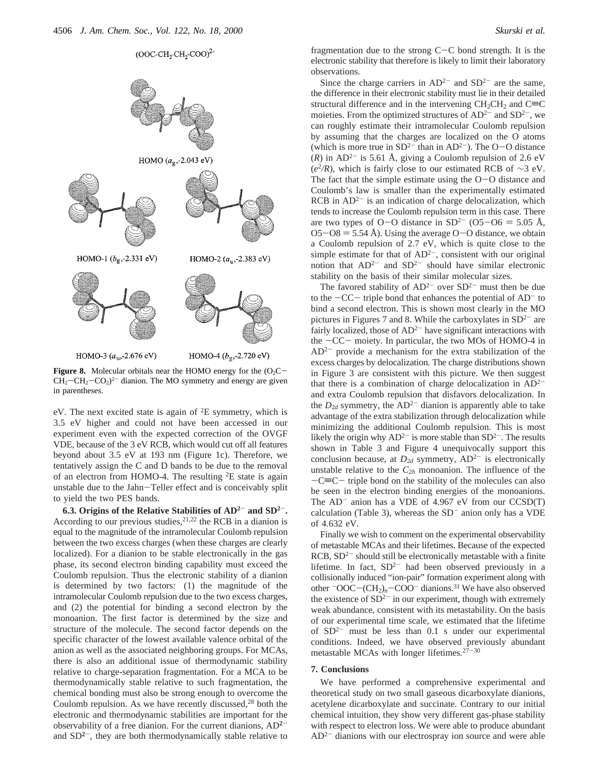# $(OOC-CH<sub>7</sub>-CH<sub>2</sub>-COO)<sup>2</sup>$



**Figure 8.** Molecular orbitals near the HOMO energy for the  $(O_2C CH_2-CH_2-CO_2$ <sup>2-</sup> dianion. The MO symmetry and energy are given in parentheses.

eV. The next excited state is again of  ${}^{2}E$  symmetry, which is 3.5 eV higher and could not have been accessed in our experiment even with the expected correction of the OVGF VDE, because of the 3 eV RCB, which would cut off all features beyond about 3.5 eV at 193 nm (Figure 1c). Therefore, we tentatively assign the C and D bands to be due to the removal of an electron from HOMO-4. The resulting  ${}^{2}E$  state is again unstable due to the Jahn-Teller effect and is conceivably split to yield the two PES bands.

**6.3. Origins of the Relative Stabilities of AD2**- **and SD2**-**.** According to our previous studies, $2^{1,22}$  the RCB in a dianion is equal to the magnitude of the intramolecular Coulomb repulsion between the two excess charges (when these charges are clearly localized). For a dianion to be stable electronically in the gas phase, its second electron binding capability must exceed the Coulomb repulsion. Thus the electronic stability of a dianion is determined by two factors: (1) the magnitude of the intramolecular Coulomb repulsion due to the two excess charges, and (2) the potential for binding a second electron by the monoanion. The first factor is determined by the size and structure of the molecule. The second factor depends on the specific character of the lowest available valence orbital of the anion as well as the associated neighboring groups. For MCAs, there is also an additional issue of thermodynamic stability relative to charge-separation fragmentation. For a MCA to be thermodynamically stable relative to such fragmentation, the chemical bonding must also be strong enough to overcome the Coulomb repulsion. As we have recently discussed, $28$  both the electronic and thermodynamic stabilities are important for the observability of a free dianion. For the current dianions, AD**<sup>2</sup>** and SD**<sup>2</sup>**-, they are both thermodynamically stable relative to

fragmentation due to the strong  $C-C$  bond strength. It is the electronic stability that therefore is likely to limit their laboratory observations.

Since the charge carriers in  $AD^{2-}$  and  $SD^{2-}$  are the same, the difference in their electronic stability must lie in their detailed structural difference and in the intervening  $CH_2CH_2$  and  $C\equiv C$ moieties. From the optimized structures of  $AD^{2-}$  and  $SD^{2-}$ , we can roughly estimate their intramolecular Coulomb repulsion by assuming that the charges are localized on the O atoms (which is more true in  $SD^{2-}$  than in  $AD^{2-}$ ). The O-O distance  $(R)$  in AD<sup>2-</sup> is 5.61 Å, giving a Coulomb repulsion of 2.6 eV  $(e<sup>2</sup>/R)$ , which is fairly close to our estimated RCB of  $\sim$ 3 eV. The fact that the simple estimate using the  $O-O$  distance and Coulomb's law is smaller than the experimentally estimated  $RCB$  in  $AD^{2-}$  is an indication of charge delocalization, which tends to increase the Coulomb repulsion term in this case. There are two types of O-O distance in  $SD^{2-}$  (O5-O6 = 5.05 Å,  $O5-O8 = 5.54$  Å). Using the average O-O distance, we obtain a Coulomb repulsion of 2.7 eV, which is quite close to the simple estimate for that of  $AD^{2-}$ , consistent with our original notion that  $AD^{2-}$  and  $SD^{2-}$  should have similar electronic stability on the basis of their similar molecular sizes.

The favored stability of  $AD^{2-}$  over  $SD^{2-}$  must then be due to the  $-CC$ - triple bond that enhances the potential of  $AD^-$  to bind a second electron. This is shown most clearly in the MO pictures in Figures 7 and 8. While the carboxylates in  $SD<sup>2</sup>$  are fairly localized, those of  $AD<sup>2-</sup>$  have significant interactions with the  $-CC$  moiety. In particular, the two MOs of HOMO-4 in  $AD^{2-}$  provide a mechanism for the extra stabilization of the excess charges by delocalization. The charge distributions shown in Figure 3 are consistent with this picture. We then suggest that there is a combination of charge delocalization in  $AD^{2-}$ and extra Coulomb repulsion that disfavors delocalization. In the  $D_{2d}$  symmetry, the  $AD^{2-}$  dianion is apparently able to take advantage of the extra stabilization through delocalization while minimizing the additional Coulomb repulsion. This is most likely the origin why  $AD^{2-}$  is more stable than  $SD^{2-}$ . The results shown in Table 3 and Figure 4 unequivocally support this conclusion because, at  $D_{2d}$  symmetry,  $AD^{2-}$  is electronically unstable relative to the  $C_{2h}$  monoanion. The influence of the  $-C\equiv C$  triple bond on the stability of the molecules can also be seen in the electron binding energies of the monoanions. The  $AD^-$  anion has a VDE of 4.967 eV from our  $CCSD(T)$ calculation (Table 3), whereas the  $SD^-$  anion only has a VDE of 4.632 eV.

Finally we wish to comment on the experimental observability of metastable MCAs and their lifetimes. Because of the expected  $RCB$ ,  $SD<sup>2</sup>$  should still be electronically metastable with a finite lifetime. In fact,  $SD<sup>2-</sup>$  had been observed previously in a collisionally induced "ion-pair" formation experiment along with other  $\text{TOOC}$  - $(\text{CH}_2)_n$  -  $\text{COO}$ <sup>-</sup> dianions.<sup>31</sup> We have also observed the existence of  $SD^{2-}$  in our experiment, though with extremely weak abundance, consistent with its metastability. On the basis of our experimental time scale, we estimated that the lifetime of  $SD<sup>2-</sup>$  must be less than 0.1 s under our experimental conditions. Indeed, we have observed previously abundant metastable MCAs with longer lifetimes.27-<sup>30</sup>

# **7. Conclusions**

We have performed a comprehensive experimental and theoretical study on two small gaseous dicarboxylate dianions, acetylene dicarboxylate and succinate. Contrary to our initial chemical intuition, they show very different gas-phase stability with respect to electron loss. We were able to produce abundant  $AD^{2-}$  dianions with our electrospray ion source and were able